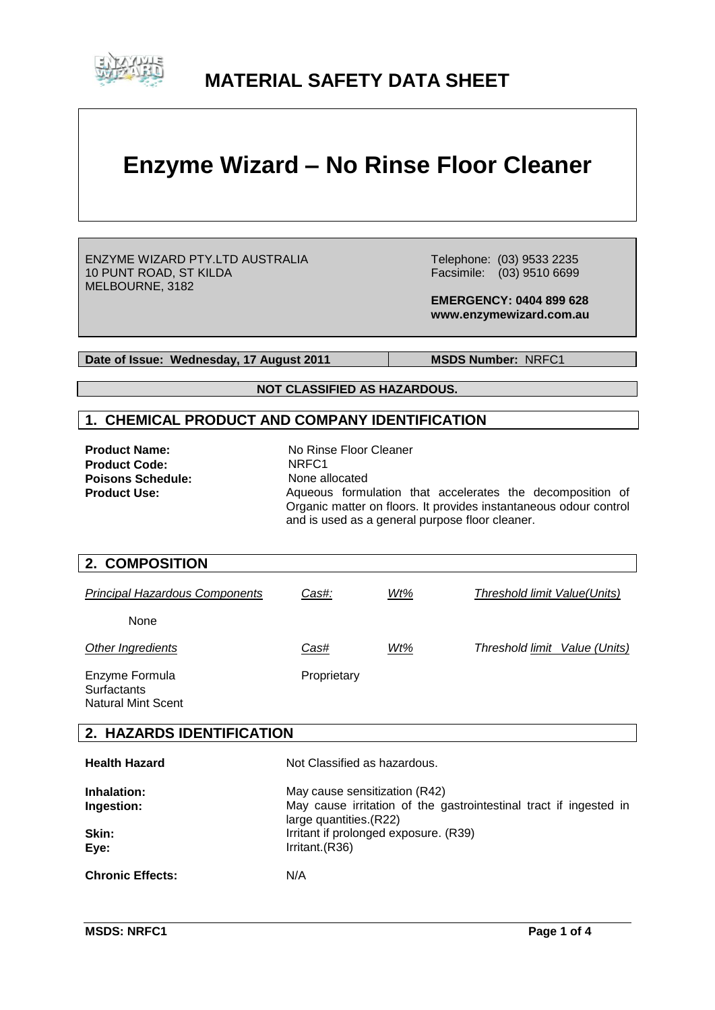

# **MATERIAL SAFETY DATA SHEET**

# **Enzyme Wizard – No Rinse Floor Cleaner**

ENZYME WIZARD PTY.LTD AUSTRALIA 10 PUNT ROAD, ST KILDA MELBOURNE, 3182

 Telephone: (03) 9533 2235 Facsimile: (03) 9510 6699

 **EMERGENCY: 0404 899 628 www.enzymewizard.com.au**

**Date of Issue: Wednesday, 17 August 2011** MSDS Number: NRFC1

**NOT CLASSIFIED AS HAZARDOUS.**

#### **1. CHEMICAL PRODUCT AND COMPANY IDENTIFICATION**

| <b>Product Name:</b>     | No Rinse Floor Cleaner                                                                                                                                                            |
|--------------------------|-----------------------------------------------------------------------------------------------------------------------------------------------------------------------------------|
| <b>Product Code:</b>     | NRFC <sub>1</sub>                                                                                                                                                                 |
| <b>Poisons Schedule:</b> | None allocated                                                                                                                                                                    |
| <b>Product Use:</b>      | Aqueous formulation that accelerates the decomposition of<br>Organic matter on floors. It provides instantaneous odour control<br>and is used as a general purpose floor cleaner. |

| 2. COMPOSITION                                                    |                                                                                                                                                                                         |     |                                     |
|-------------------------------------------------------------------|-----------------------------------------------------------------------------------------------------------------------------------------------------------------------------------------|-----|-------------------------------------|
| <b>Principal Hazardous Components</b>                             | Cas#:                                                                                                                                                                                   | Wt% | <b>Threshold limit Value(Units)</b> |
| <b>None</b>                                                       |                                                                                                                                                                                         |     |                                     |
| Other Ingredients                                                 | Cas#                                                                                                                                                                                    | Wt% | Threshold limit Value (Units)       |
| Enzyme Formula<br><b>Surfactants</b><br><b>Natural Mint Scent</b> | Proprietary                                                                                                                                                                             |     |                                     |
| 2. HAZARDS IDENTIFICATION                                         |                                                                                                                                                                                         |     |                                     |
| <b>Health Hazard</b>                                              | Not Classified as hazardous.                                                                                                                                                            |     |                                     |
| Inhalation:<br>Ingestion:<br>Skin:<br>Eye:                        | May cause sensitization (R42)<br>May cause irritation of the gastrointestinal tract if ingested in<br>large quantities.(R22)<br>Irritant if prolonged exposure. (R39)<br>Irritant.(R36) |     |                                     |
| <b>Chronic Effects:</b>                                           | N/A                                                                                                                                                                                     |     |                                     |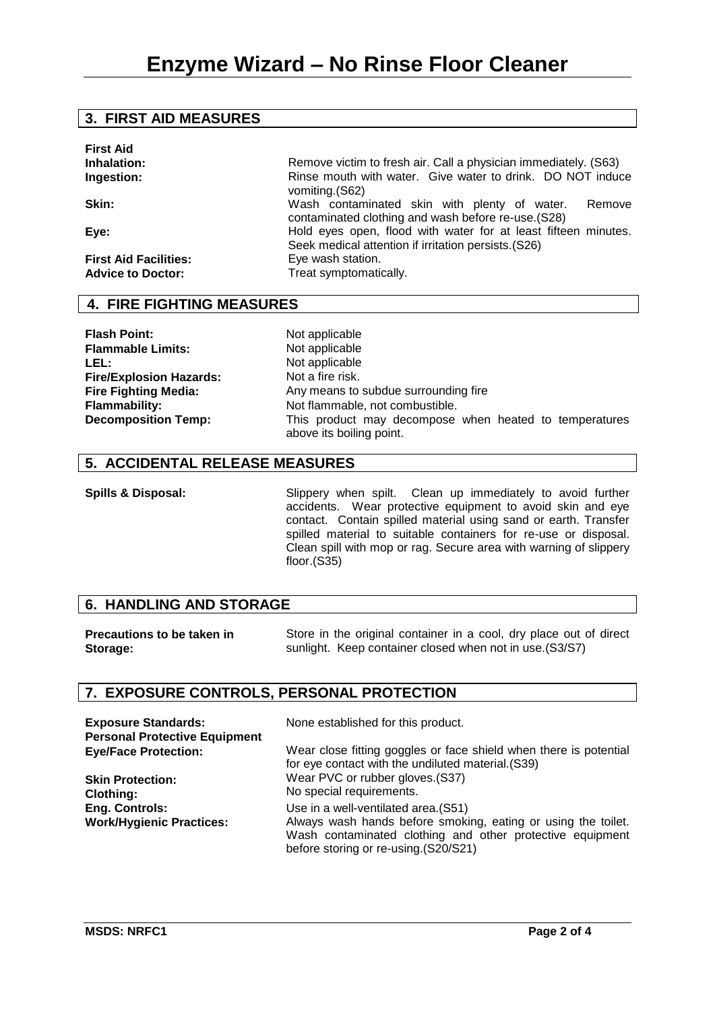#### **3. FIRST AID MEASURES**

| <b>First Aid</b>             |                                                                                                                        |
|------------------------------|------------------------------------------------------------------------------------------------------------------------|
| Inhalation:                  | Remove victim to fresh air. Call a physician immediately. (S63)                                                        |
| Ingestion:                   | Rinse mouth with water. Give water to drink. DO NOT induce<br>vomiting. (S62)                                          |
| Skin:                        | Wash contaminated skin with plenty of water.<br>Remove<br>contaminated clothing and wash before re-use. (S28)          |
| Eye:                         | Hold eyes open, flood with water for at least fifteen minutes.<br>Seek medical attention if irritation persists. (S26) |
| <b>First Aid Facilities:</b> | Eye wash station.                                                                                                      |
| <b>Advice to Doctor:</b>     | Treat symptomatically.                                                                                                 |

# **4. FIRE FIGHTING MEASURES**

**Flash Point:** Not applicable<br> **Flammable Limits:** Not applicable **Flammable Limits:**<br>LEL: **Fire/Explosion Hazards: Fire Fighting Media:**

**LEL:** Not applicable Not a fire risk. Any means to subdue surrounding fire Flammability: Not flammable, not combustible. **Decomposition Temp:** This product may decompose when heated to temperatures above its boiling point.

#### **5. ACCIDENTAL RELEASE MEASURES**

**Spills & Disposal:** Slippery when spilt. Clean up immediately to avoid further accidents. Wear protective equipment to avoid skin and eye contact. Contain spilled material using sand or earth. Transfer spilled material to suitable containers for re-use or disposal. Clean spill with mop or rag. Secure area with warning of slippery floor.(S35)

# **6. HANDLING AND STORAGE**

**Precautions to be taken in Storage:** Store in the original container in a cool, dry place out of direct sunlight. Keep container closed when not in use.(S3/S7)

# **7. EXPOSURE CONTROLS, PERSONAL PROTECTION**

| <b>Exposure Standards:</b><br><b>Personal Protective Equipment</b> | None established for this product.                                                                                                                                 |
|--------------------------------------------------------------------|--------------------------------------------------------------------------------------------------------------------------------------------------------------------|
| <b>Eye/Face Protection:</b>                                        | Wear close fitting goggles or face shield when there is potential<br>for eye contact with the undiluted material. (S39)                                            |
| <b>Skin Protection:</b>                                            | Wear PVC or rubber gloves. (S37)                                                                                                                                   |
| <b>Clothing:</b>                                                   | No special requirements.                                                                                                                                           |
| Eng. Controls:                                                     | Use in a well-ventilated area. (S51)                                                                                                                               |
| <b>Work/Hygienic Practices:</b>                                    | Always wash hands before smoking, eating or using the toilet.<br>Wash contaminated clothing and other protective equipment<br>before storing or re-using.(S20/S21) |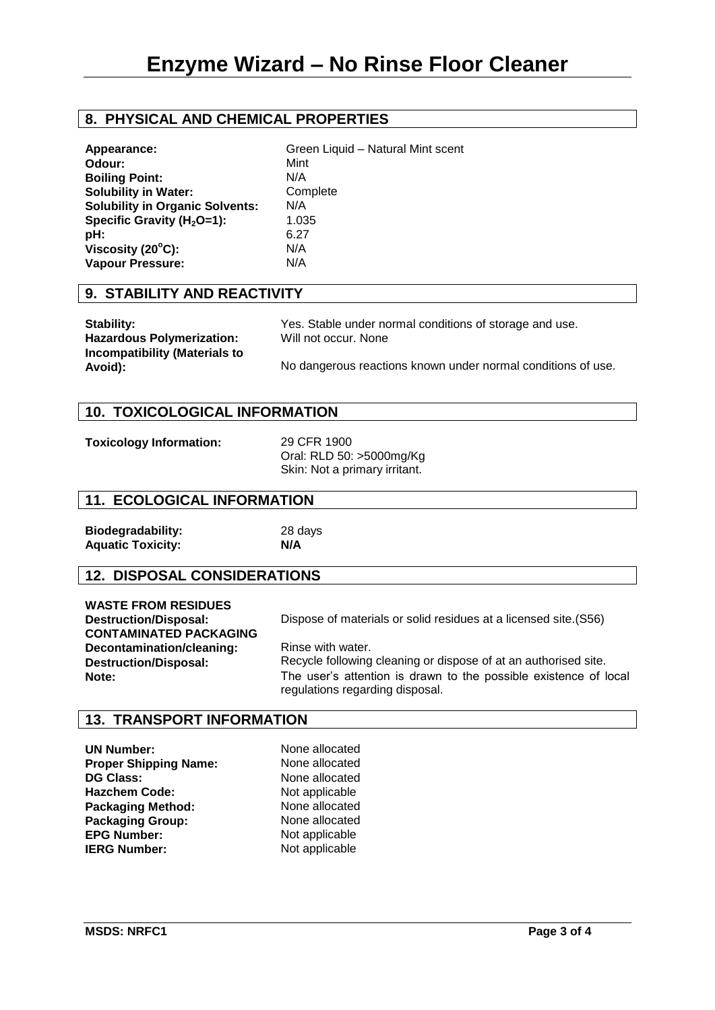# **8. PHYSICAL AND CHEMICAL PROPERTIES**

| Appearance:                            | Green Liquid - Natural Mint scent |
|----------------------------------------|-----------------------------------|
| Odour:                                 | Mint                              |
| <b>Boiling Point:</b>                  | N/A                               |
| <b>Solubility in Water:</b>            | Complete                          |
| <b>Solubility in Organic Solvents:</b> | N/A                               |
| Specific Gravity $(H2O=1)$ :           | 1.035                             |
| pH:                                    | 6.27                              |
| Viscosity (20°C):                      | N/A                               |
| Vapour Pressure:                       | N/A                               |
|                                        |                                   |

#### **9. STABILITY AND REACTIVITY**

| <b>Stability:</b>                               | Yes. Stable under normal conditions of storage and use.      |
|-------------------------------------------------|--------------------------------------------------------------|
| <b>Hazardous Polymerization:</b>                | Will not occur. None                                         |
| <b>Incompatibility (Materials to</b><br>Avoid): | No dangerous reactions known under normal conditions of use. |

#### **10. TOXICOLOGICAL INFORMATION**

**Toxicology Information:** 29 CFR 1900

Oral: RLD 50: >5000mg/Kg Skin: Not a primary irritant.

#### **11. ECOLOGICAL INFORMATION**

**Biodegradability:** 28 days **Aquatic Toxicity: N/A**

# **12. DISPOSAL CONSIDERATIONS**

| <b>WASTE FROM RESIDUES</b>    |
|-------------------------------|
| <b>Destruction/Disposal:</b>  |
| <b>CONTAMINATED PACKAGING</b> |
| Decontamination/cleaning:     |
| <b>Destruction/Disposal:</b>  |
| Note:                         |

Dispose of materials or solid residues at a licensed site.(S56)

Rinse with water. Recycle following cleaning or dispose of at an authorised site. The user's attention is drawn to the possible existence of local regulations regarding disposal.

#### **13. TRANSPORT INFORMATION**

**UN Number:** None allocated **Proper Shipping Name:** None allocated **DG Class:** None allocated **Hazchem Code:** Not applicable<br> **Packaging Method:** None allocated **Packaging Method:** None allocated<br> **Packaging Group:** None allocated **Packaging Group:** None allocated<br> **EPG Number:** Not applicable **EPG Number: IERG Number:** Not applicable